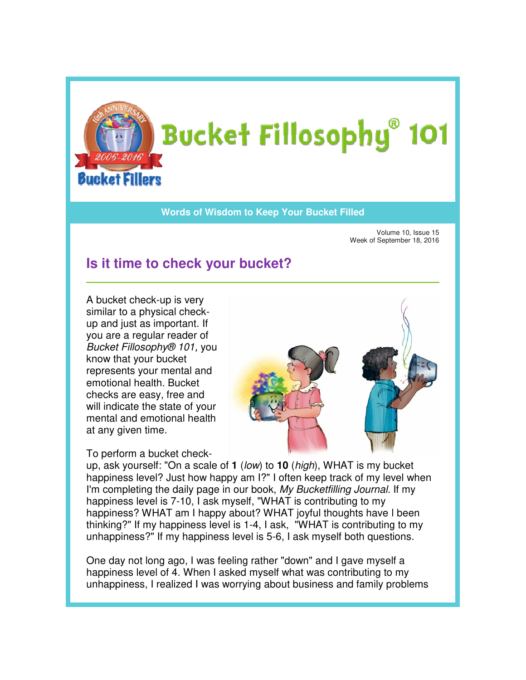

## **Words of Wisdom to Keep Your Bucket Filled Wisdom**

Volume 10, Issue 15 Week of September 18, 2016 2016

## **Is it time to check your bucket?**

A bucket check-up is very A bucket check-up is very<br>similar to a physical checkup and just as important. If you are a regular reader of up and just as important. If<br>you are a regular reader of<br>*Bucket Fillosophy® 101,* you know that your bucket represents your mental and emotional health. Bucket Bucket checks are easy, free and will indicate the state of your mental and emotional health at any given time. will indicate the state of you<br>mental and emotional healtl<br>at any given time.<br>To perform a bucket check-



up, ask yourself: "On a scale of **1** (low) to **10** (high), WHAT is my bucket happiness level? Just how happy am I?" I often keep track of my level when happiness level? Just how happy am I?" I often keep track of my level wh<br>I'm completing the daily page in our book, *My Bucketfilling Journal.* If my happiness level is 7-10, I ask myself, "WHAT is contributing to my happiness? WHAT am I happy about? WHAT joyful thoughts have I been happiness? WHAT am I happy about? WHAT joyful thoughts have I been<br>thinking?" If my happiness level is 1-4, I ask, "WHAT is contributing to my unhappiness?" If my happiness level is 5 5-6, I ask myself both questions.

unhappiness?" If my happiness level is 5-6, I ask myself both question:<br>One day not long ago, I was feeling rather "down" and I gave myself a happiness level of 4. When I asked myself what was contributing to my unhappiness, I realized I was worrying about business and family problems